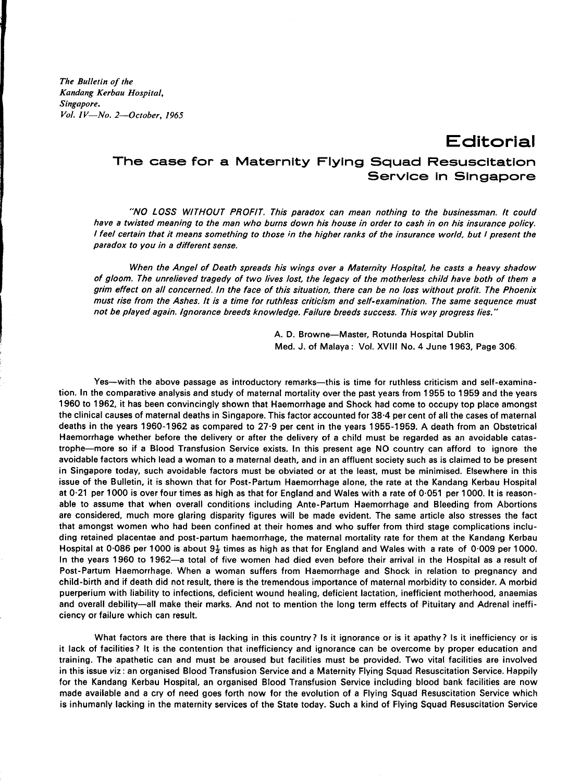*The Bulletin of the Kandang Kerbau Hospital, Singapore. Vol. IV-No. 2-0ctober, 1965*

**Editorial**

**The case for a Maternity Flying Squad Resuscitation Service In Singapore**

*"NO LOSS WITHOUT PROFIT. This paradox can mean nothing to the businessman. It could* have a twisted meaning to the man who burns down his house in order to cash in on his insurance policy. I feel certain that it means something to those in the higher ranks of the insurance world, but I present the *paradox to you in a different sense.*

*When the Angel of Death spreads his wings over a Maternity Hospital. he casts a heavy shadow* of gloom. The unrelieved tragedy of two lives lost, the legacy of the motherless child have both of them a grim effect on all concerned. In the face of this situation, there can be no loss without profit. The Phoenix must rise from the Ashes. It is a time for ruthless criticism and self-examination. The same sequence must *not be played again. Ignorance breeds knowledge. Failure breeds success. This way progress lies. "*

> A. D. Browne-Master, Rotunda Hospital Dublin Med. J. of Malaya: Vol. XVIII No.4 June 1963, Page 306.

Yes--with the above passage as introductory remarks--this is time for ruthless criticism and self-examination. In the comparative analysis and study of maternal mortality over the past years from 1955 to 1959 and the years 1960 to 1962, it has been convincingly shown that Haemorrhage and Shock had come to occupy top place amongst the clinical causes of maternal deaths in Singapore. This factor accounted for 38·4 per cent of all the cases of maternal deaths in the years 1960-1962 as compared to 27·9 per cent in the years 1955-1959. A death from an Obstetrical Haemorrhage whether before the delivery or after the delivery of a child must be regarded as an avoidable catastrophe-more so if a Blood Transfusion Service exists. In this present age NO country can afford to ignore the avoidable factors which lead a woman to a maternal death, and in an affluent society such as is claimed to be present in Singapore today, such avoidable factors must be obviated or at the least, must be minimised. Elsewhere in this issue of the Bulletin, it is shown that for Post-Partum Haemorrhage alone, the rate at the Kandang Kerbau Hospital at 0·21 per 1000 is over four times as high as that for England and Wales with a rate of 0·051 per 1000. It is reasonable to assume that when overall conditions including Ante-Partum Haemorrhage and Bleeding from Abortions are considered, much more glaring disparity figures will be made evident. The same article also stresses the fact that amongst women who had been confined at their homes and who suffer from third stage complications including retained placentae and post-partum haemorrhage, the maternal mortality rate for them at the Kandang Kerbau Hospital at 0.086 per 1000 is about  $9\frac{1}{2}$  times as high as that for England and Wales with a rate of 0.009 per 1000. In the years 1960 to 1962-a total of five women had died even before their arrival in the Hospital as a result of Post-Partum Haemorrhage. When a woman suffers from Haemorrhage and Shock in relation to pregnancy and child-birth and if death did not result, there is the tremendous importance of maternal morbidity to consider. A morbid puerperium with liability to infections, deficient wound healing, deficient lactation, inefficient motherhood, anaemias and overall debility-all make their marks. And not to mention the long term effects of Pituitary and Adrenal inefficiency or failure which can result.

What factors are there that is lacking in this country? Is it ignorance or is it apathy? Is it inefficiency or is it lack of facilities? It is the contention that inefficiency and ignorance can be overcome by proper education and training. The apathetic can and must be aroused but facilities must be provided. Two vital facilities are involved in this issue viz : an organised Blood Transfusion Service and a Maternity Flying Squad Resuscitation Service. Happily for the Kandang Kerbau Hospital, an organised Blood Transfusion Service including blood bank facilities are now made available and a cry of need goes forth now for the evolution of a Flying Squad Resuscitation Service which is inhumanly lacking in the maternity services of the State today. Such a kind of Flying Squad Resuscitation Service